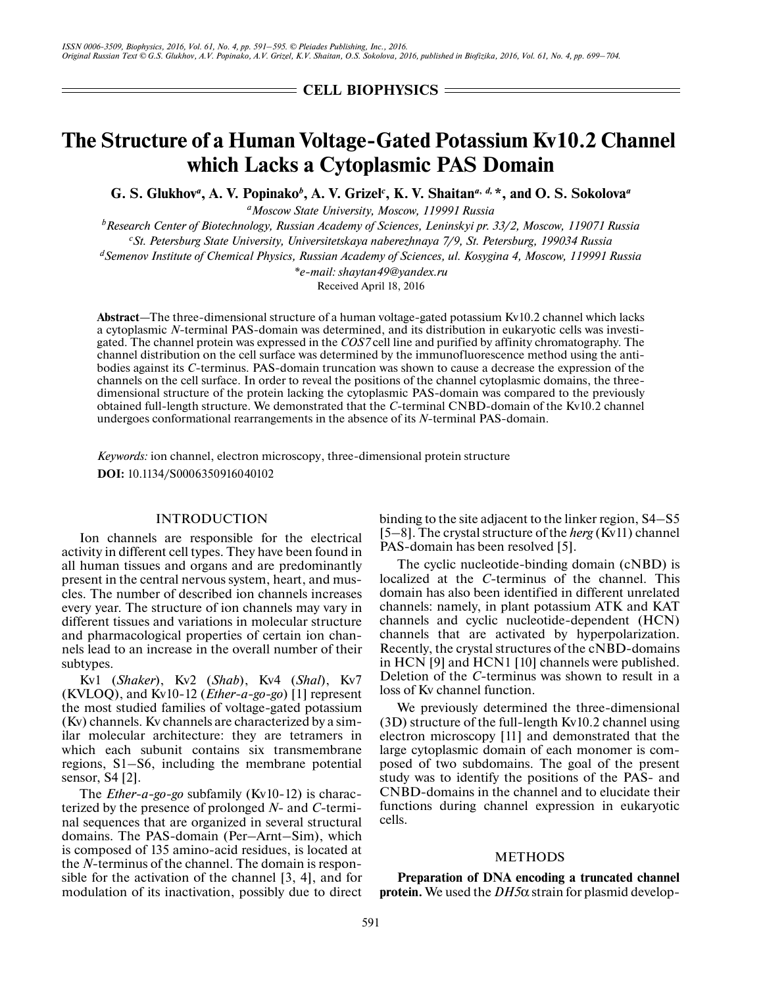= CELL BIOPHYSICS =

# **The Structure of a Human Voltage-Gated Potassium Kv10.2 Channel which Lacks a Cytoplasmic PAS Domain**

**G. S. Glukhov***<sup>a</sup>* **, A. V. Popinako***<sup>b</sup>* **, A. V. Grizel***<sup>c</sup>* **, K. V. Shaitan***<sup>a</sup>***,** *d,* **\*, and O. S. Sokolova***<sup>a</sup>*

*aMoscow State University, Moscow, 119991 Russia*

*b Research Center of Biotechnology, Russian Academy of Sciences, Leninskyi pr. 33/2, Moscow, 119071 Russia c St. Petersburg State University, Universitetskaya naberezhnaya 7/9, St. Petersburg, 199034 Russia*

*dSemenov Institute of Chemical Physics, Russian Academy of Sciences, ul. Kosygina 4, Moscow, 119991 Russia*

*\*e-mail: shaytan49@yandex.ru*

Received April 18, 2016

**Abstract**—The three-dimensional structure of a human voltage-gated potassium Kv10.2 channel which lacks a cytoplasmic *N*-terminal PAS-domain was determined, and its distribution in eukaryotic cells was investigated. The channel protein was expressed in the *COS7* cell line and purified by affinity chromatography. The channel distribution on the cell surface was determined by the immunofluorescence method using the antibodies against its *C*-terminus. PAS-domain truncation was shown to cause a decrease the expression of the channels on the cell surface. In order to reveal the positions of the channel cytoplasmic domains, the threedimensional structure of the protein lacking the cytoplasmic PAS-domain was compared to the previously obtained full-length structure. We demonstrated that the *C*-terminal CNBD-domain of the Kv10.2 channel undergoes conformational rearrangements in the absence of its *N*-terminal PAS-domain.

*Keywords:* ion channel, electron microscopy, three-dimensional protein structure **DOI:** 10.1134/S0006350916040102

#### INTRODUCTION

Ion channels are responsible for the electrical activity in different cell types. They have been found in all human tissues and organs and are predominantly present in the central nervous system, heart, and muscles. The number of described ion channels increases every year. The structure of ion channels may vary in different tissues and variations in molecular structure and pharmacological properties of certain ion channels lead to an increase in the overall number of their subtypes.

Kv1 (*Shaker*), Kv2 (*Shab*), Kv4 (*Shal*), Kv7 (KVLOQ), and Kv10-12 (*Ether-a-go-go*) [1] represent the most studied families of voltage-gated potassium (Kv) channels. Kv channels are characterized by a similar molecular architecture: they are tetramers in which each subunit contains six transmembrane regions, S1–S6, including the membrane potential sensor, S4 [2].

The *Ether-a-go-go* subfamily (Kv10-12) is characterized by the presence of prolonged *N*- and *C*-terminal sequences that are organized in several structural domains. The PAS-domain (Per–Arnt–Sim), which is composed of 135 amino-acid residues, is located at the *N*-terminus of the channel. The domain is responsible for the activation of the channel [3, 4], and for modulation of its inactivation, possibly due to direct binding to the site adjacent to the linker region, S4–S5 [5–8]. The crystal structure of the *herg* (Kv11) channel PAS-domain has been resolved [5].

The cyclic nucleotide-binding domain (cNBD) is localized at the *C*-terminus of the channel. This domain has also been identified in different unrelated channels: namely, in plant potassium ATK and KAT channels and cyclic nucleotide-dependent (HCN) channels that are activated by hyperpolarization. Recently, the crystal structures of the cNBD-domains in HCN [9] and HCN1 [10] channels were published. Deletion of the *C*-terminus was shown to result in a loss of Kv channel function.

We previously determined the three-dimensional (3D) structure of the full-length Kv10.2 channel using electron microscopy [11] and demonstrated that the large cytoplasmic domain of each monomer is composed of two subdomains. The goal of the present study was to identify the positions of the PAS- and CNBD-domains in the channel and to elucidate their functions during channel expression in eukaryotic cells.

## METHODS

**Preparation of DNA encoding a truncated channel protein.** We used the *DH5*α strain for plasmid develop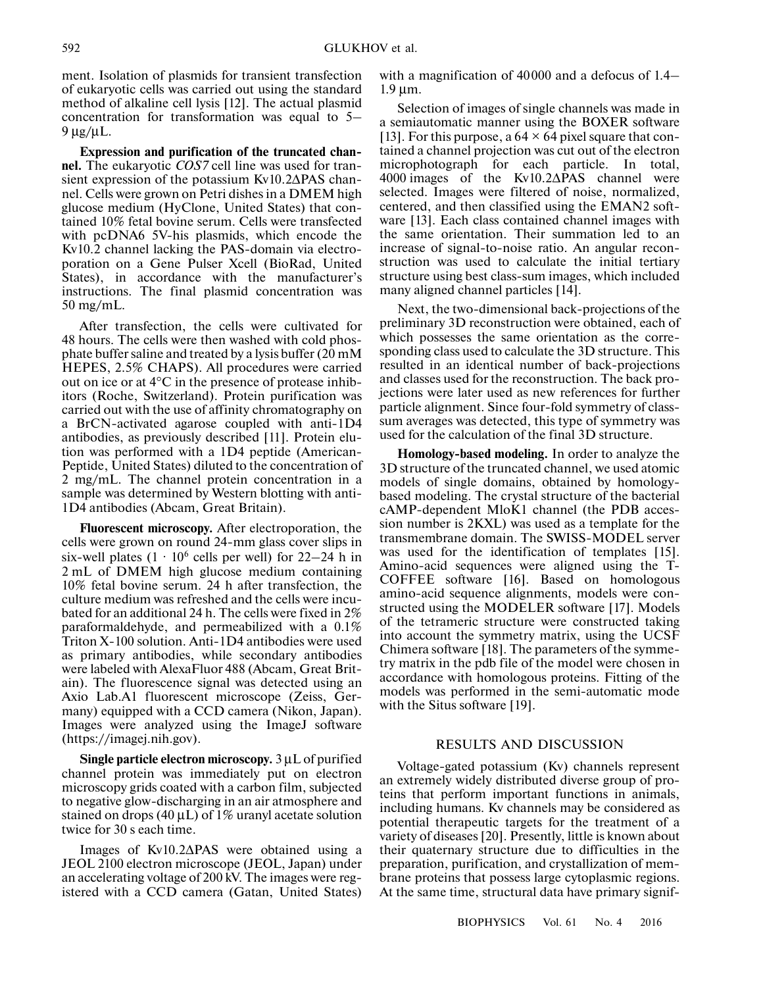ment. Isolation of plasmids for transient transfection of eukaryotic cells was carried out using the standard method of alkaline cell lysis [12]. The actual plasmid concentration for transformation was equal to 5– 9 μg/μL.

**Expression and purification of the truncated channel.** The eukaryotic *COS7* cell line was used for transient expression of the potassium Kv10.2ΔPAS channel. Cells were grown on Petri dishes in a DMEM high glucose medium (HyClone, United States) that contained 10% fetal bovine serum. Cells were transfected with pcDNA6 5V-his plasmids, which encode the Kv10.2 channel lacking the PAS-domain via electroporation on a Gene Pulser Xcell (BioRad, United States), in accordance with the manufacturer's instructions. The final plasmid concentration was 50 mg/mL.

After transfection, the cells were cultivated for 48 hours. The cells were then washed with cold phosphate buffer saline and treated by a lysis buffer (20 mМ HEPES, 2.5% CHAPS). All procedures were carried out on ice or at 4°C in the presence of protease inhibitors (Roche, Switzerland). Protein purification was carried out with the use of affinity chromatography on a BrCN-activated agarose coupled with anti-1D4 antibodies, as previously described [11]. Protein elution was performed with a 1D4 peptide (American-Peptide, United States) diluted to the concentration of 2 mg/mL. The channel protein concentration in a sample was determined by Western blotting with anti-1D4 antibodies (Abcam, Great Britain).

**Fluorescent microscopy.** After electroporation, the cells were grown on round 24-mm glass cover slips in six-well plates  $(1 \cdot 10^6 \text{ cells per well})$  for 22–24 h in 2 mL of DMEM high glucose medium containing 10% fetal bovine serum. 24 h after transfection, the culture medium was refreshed and the cells were incubated for an additional 24 h. The cells were fixed in 2% paraformaldehyde, and permeabilized with a 0.1% Triton X-100 solution. Anti-1D4 antibodies were used as primary antibodies, while secondary antibodies were labeled with AlexaFluor 488 (Abcam, Great Britain). The fluorescence signal was detected using an Axio Lab.A1 fluorescent microscope (Zeiss, Germany) equipped with a CCD camera (Nikon, Japan). Images were analyzed using the ImageJ software (https://imagej.nih.gov).

**Single particle electron microscopy.** 3 μL of purified channel protein was immediately put on electron microscopy grids coated with a carbon film, subjected to negative glow-discharging in an air atmosphere and stained on drops (40  $\mu$ L) of 1% uranyl acetate solution twice for 30 s each time.

Images of Kv10.2ΔPAS were obtained using a JEOL 2100 electron microscope (JEOL, Japan) under an accelerating voltage of 200 kV. The images were registered with a CCD camera (Gatan, United States) with a magnification of 40000 and a defocus of 1.4– 1.9 μm.

Selection of images of single channels was made in a semiautomatic manner using the BOXER software [13]. For this purpose, a  $64 \times 64$  pixel square that contained a channel projection was cut out of the electron microphotograph for each particle. In total, 4000 images of the Kv10.2ΔPAS channel were selected. Images were filtered of noise, normalized, centered, and then classified using the EMAN2 software [13]. Each class contained channel images with the same orientation. Their summation led to an increase of signal-to-noise ratio. An angular reconstruction was used to calculate the initial tertiary structure using best class-sum images, which included many aligned channel particles [14].

Next, the two-dimensional back-projections of the preliminary 3D reconstruction were obtained, each of which possesses the same orientation as the corresponding class used to calculate the 3D structure. This resulted in an identical number of back-projections and classes used for the reconstruction. The back projections were later used as new references for further particle alignment. Since four-fold symmetry of classsum averages was detected, this type of symmetry was used for the calculation of the final 3D structure.

**Homology-based modeling.** In order to analyze the 3D structure of the truncated channel, we used atomic models of single domains, obtained by homologybased modeling. The crystal structure of the bacterial cAMP-dependent MloK1 channel (the PDB accession number is 2KXL) was used as a template for the transmembrane domain. The SWISS-MODEL server was used for the identification of templates [15]. Amino-acid sequences were aligned using the T-COFFEE software [16]. Based on homologous amino-acid sequence alignments, models were constructed using the MODELER software [17]. Models of the tetrameric structure were constructed taking into account the symmetry matrix, using the UCSF Chimera software [18]. The parameters of the symmetry matrix in the pdb file of the model were chosen in accordance with homologous proteins. Fitting of the models was performed in the semi-automatic mode with the Situs software [19].

## RESULTS AND DISCUSSION

Voltage-gated potassium (Kv) channels represent an extremely widely distributed diverse group of proteins that perform important functions in animals, including humans. Kv channels may be considered as potential therapeutic targets for the treatment of a variety of diseases [20]. Presently, little is known about their quaternary structure due to difficulties in the preparation, purification, and crystallization of membrane proteins that possess large cytoplasmic regions. At the same time, structural data have primary signif-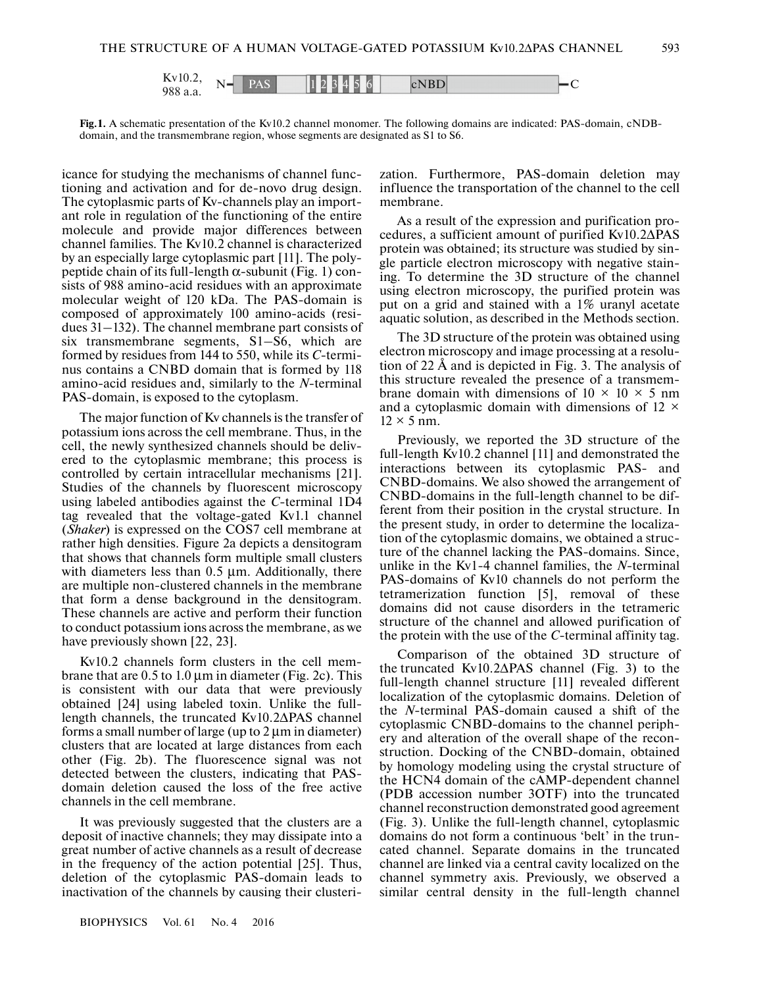

**Fig.1.** A schematic presentation of the Kv10.2 channel monomer. The following domains are indicated: PAS-domain, cNDBdomain, and the transmembrane region, whose segments are designated as S1 to S6.

icance for studying the mechanisms of channel functioning and activation and for de-novo drug design. The cytoplasmic parts of Kv-channels play an important role in regulation of the functioning of the entire molecule and provide major differences between channel families. The Kv10.2 channel is characterized by an especially large cytoplasmic part [11]. The polypeptide chain of its full-length α-subunit (Fig. 1) consists of 988 amino-acid residues with an approximate molecular weight of 120 kDa. The PAS-domain is composed of approximately 100 amino-acids (residues 31–132). The channel membrane part consists of six transmembrane segments, S1–S6, which are formed by residues from 144 to 550, while its *C*-terminus contains a CNBD domain that is formed by 118 amino-acid residues and, similarly to the *N*-terminal PAS-domain, is exposed to the cytoplasm.

The major function of Kv channels is the transfer of potassium ions across the cell membrane. Thus, in the cell, the newly synthesized channels should be delivered to the cytoplasmic membrane; this process is controlled by certain intracellular mechanisms [21]. Studies of the channels by fluorescent microscopy using labeled antibodies against the *C*-terminal 1D4 tag revealed that the voltage-gated Kv1.1 channel (*Shaker*) is expressed on the COS7 cell membrane at rather high densities. Figure 2а depicts a densitogram that shows that channels form multiple small clusters with diameters less than 0.5 μm. Additionally, there are multiple non-clustered channels in the membrane that form a dense background in the densitogram. These channels are active and perform their function to conduct potassium ions across the membrane, as we have previously shown [22, 23].

Kv10.2 channels form clusters in the cell membrane that are 0.5 to 1.0 μm in diameter (Fig. 2c). This is consistent with our data that were previously obtained [24] using labeled toxin. Unlike the fulllength channels, the truncated Kv10.2ΔPAS channel forms a small number of large (up to  $2 \mu m$  in diameter) clusters that are located at large distances from each other (Fig. 2b). The fluorescence signal was not detected between the clusters, indicating that PASdomain deletion caused the loss of the free active channels in the cell membrane.

It was previously suggested that the clusters are a deposit of inactive channels; they may dissipate into a great number of active channels as a result of decrease in the frequency of the action potential [25]. Thus, deletion of the cytoplasmic PAS-domain leads to inactivation of the channels by causing their clusterization. Furthermore, PAS-domain deletion may influence the transportation of the channel to the cell membrane.

As a result of the expression and purification procedures, a sufficient amount of purified Kv10.2ΔPAS protein was obtained; its structure was studied by single particle electron microscopy with negative staining. To determine the 3D structure of the channel using electron microscopy, the purified protein was put on a grid and stained with a 1% uranyl acetate aquatic solution, as described in the Methods section.

The 3D structure of the protein was obtained using electron microscopy and image processing at a resolution of 22 Å and is depicted in Fig. 3. The analysis of this structure revealed the presence of a transmembrane domain with dimensions of  $10 \times 10 \times 5$  nm and a cytoplasmic domain with dimensions of  $12 \times$  $12 \times 5$  nm.

Previously, we reported the 3D structure of the full-length Kv10.2 channel [11] and demonstrated the interactions between its cytoplasmic PAS- and CNBD-domains. We also showed the arrangement of CNBD-domains in the full-length channel to be different from their position in the crystal structure. In the present study, in order to determine the localization of the cytoplasmic domains, we obtained a structure of the channel lacking the PAS-domains. Since, unlike in the Kv1-4 channel families, the *N*-terminal PAS-domains of Kv10 channels do not perform the tetramerization function [5], removal of these domains did not cause disorders in the tetrameric structure of the channel and allowed purification of the protein with the use of the *C*-terminal affinity tag.

Comparison of the obtained 3D structure of the truncated Kv10.2ΔPAS channel (Fig. 3) to the full-length channel structure [11] revealed different localization of the cytoplasmic domains. Deletion of the *N*-terminal PAS-domain caused a shift of the cytoplasmic CNBD-domains to the channel periphery and alteration of the overall shape of the reconstruction. Docking of the CNBD-domain, obtained by homology modeling using the crystal structure of the HCN4 domain of the cAMP-dependent channel (PDB accession number 3OTF) into the truncated channel reconstruction demonstrated good agreement (Fig. 3). Unlike the full-length channel, cytoplasmic domains do not form a continuous 'belt' in the truncated channel. Separate domains in the truncated channel are linked via a central cavity localized on the channel symmetry axis. Previously, we observed a similar central density in the full-length channel

BIOPHYSICS Vol. 61 No. 4 2016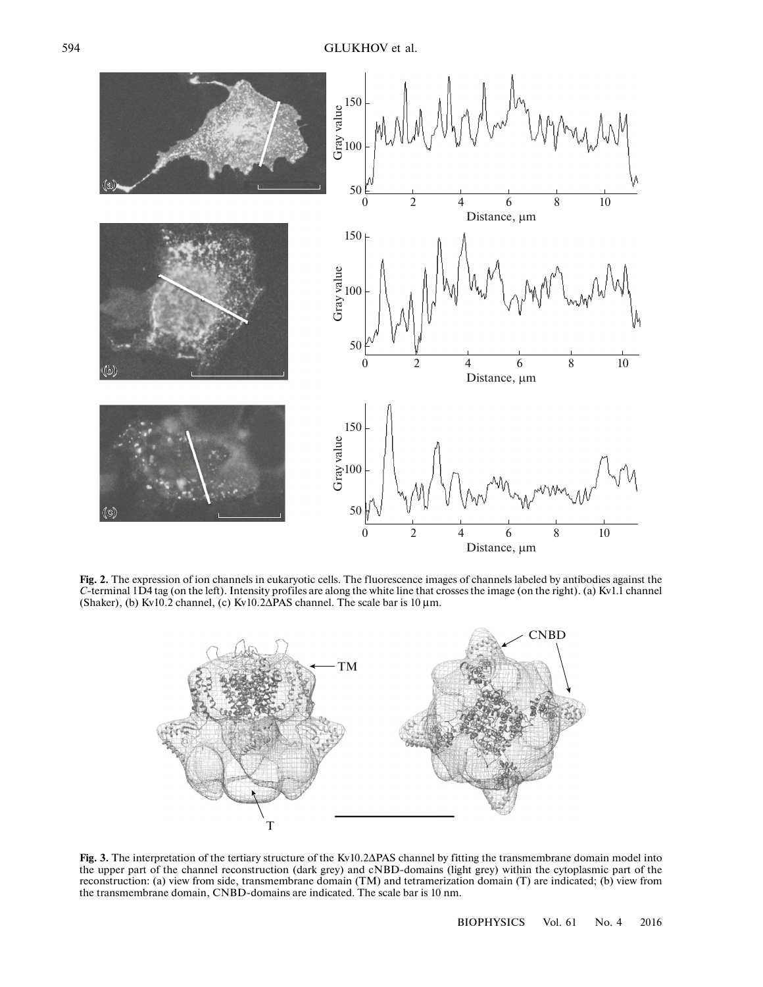

Fig. 2. The expression of ion channels in eukaryotic cells. The fluorescence images of channels labeled by antibodies against the *C*-terminal 1D4 tag (on the left). Intensity profiles are along the white line that crosses the image (on the right). (a) Kv1.1 channel (Shaker), (b) Kv10.2 channel, (c) Kv10.2ΔPAS channel. The scale bar is 10 μm.



**Fig. 3.** The interpretation of the tertiary structure of the Kv10.2ΔPAS channel by fitting the transmembrane domain model into the upper part of the channel reconstruction (dark grey) and cNBD-domains (light grey) within the cytoplasmic part of the reconstruction: (а) view from side, transmembrane domain (ТМ) and tetramerization domain (Т) are indicated; (b) view from the transmembrane domain, CNBD-domains are indicated. The scale bar is 10 nm.

BIOPHYSICS Vol. 61 No. 4 2016